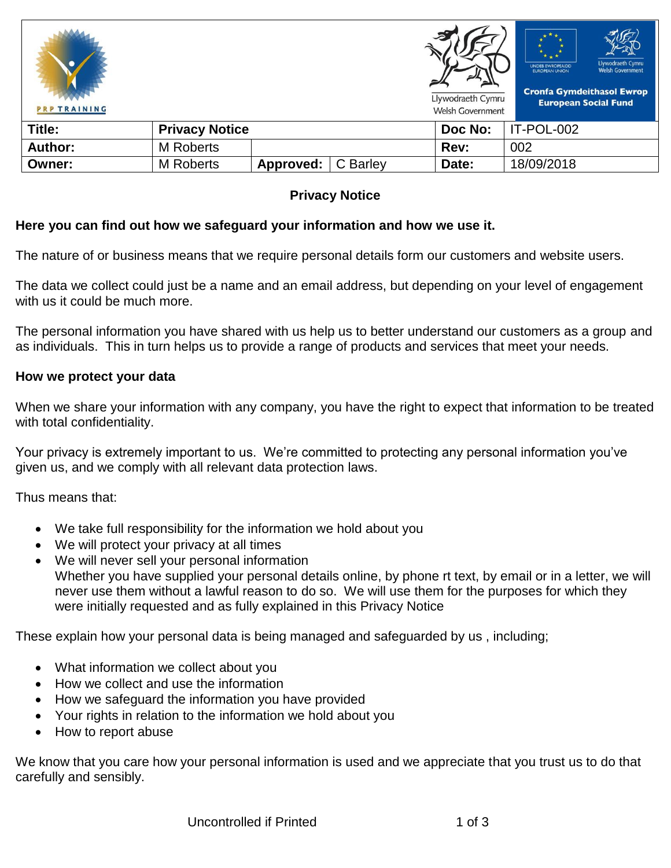| <b>PRP TRAINING</b> |                       |           |          | Llywodraeth Cymru<br><b>Welsh Government</b> | Llywodraeth Cymru<br><b>UNDEB EWROPEAIDD</b><br><b>Welsh Government</b><br><b>EUROPEAN UNION</b><br><b>Cronfa Gymdeithasol Ewrop</b><br><b>European Social Fund</b> |
|---------------------|-----------------------|-----------|----------|----------------------------------------------|---------------------------------------------------------------------------------------------------------------------------------------------------------------------|
| Title:              | <b>Privacy Notice</b> |           |          | Doc No:                                      | IT-POL-002                                                                                                                                                          |
| <b>Author:</b>      | <b>M</b> Roberts      |           |          | Rev:                                         | 002                                                                                                                                                                 |
| Owner:              | <b>M</b> Roberts      | Approved: | C Barley | Date:                                        | 18/09/2018                                                                                                                                                          |

## **Privacy Notice**

#### **Here you can find out how we safeguard your information and how we use it.**

The nature of or business means that we require personal details form our customers and website users.

The data we collect could just be a name and an email address, but depending on your level of engagement with us it could be much more.

The personal information you have shared with us help us to better understand our customers as a group and as individuals. This in turn helps us to provide a range of products and services that meet your needs.

#### **How we protect your data**

When we share your information with any company, you have the right to expect that information to be treated with total confidentiality.

Your privacy is extremely important to us. We're committed to protecting any personal information you've given us, and we comply with all relevant data protection laws.

Thus means that:

- We take full responsibility for the information we hold about you
- We will protect your privacy at all times
- We will never sell your personal information Whether you have supplied your personal details online, by phone rt text, by email or in a letter, we will never use them without a lawful reason to do so. We will use them for the purposes for which they were initially requested and as fully explained in this Privacy Notice

These explain how your personal data is being managed and safeguarded by us , including;

- What information we collect about you
- How we collect and use the information
- How we safeguard the information you have provided
- Your rights in relation to the information we hold about you
- How to report abuse

We know that you care how your personal information is used and we appreciate that you trust us to do that carefully and sensibly.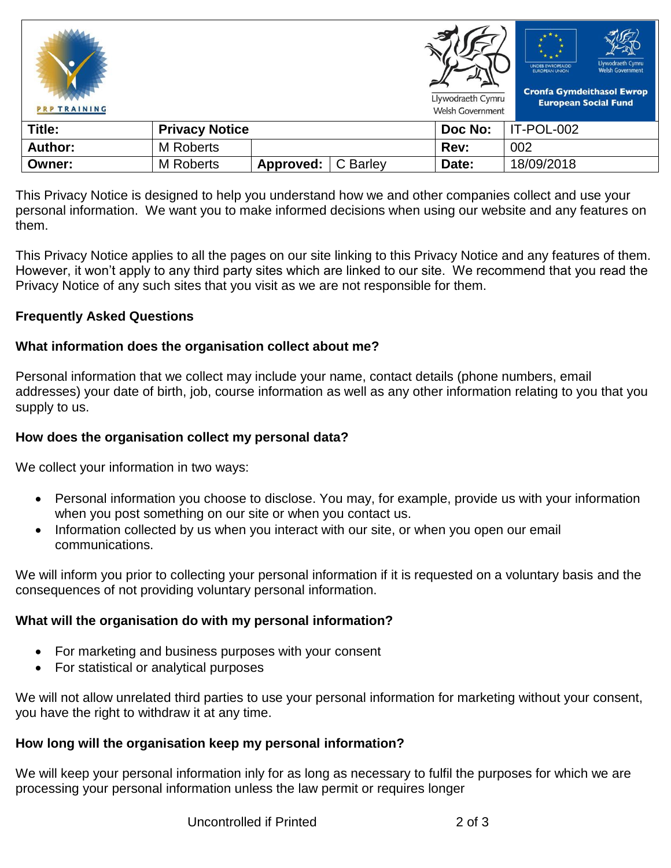| <b>PRP TRAINING</b> |                       |           |          | Llywodraeth Cymru<br><b>Welsh Government</b> | Llywodraeth Cymru<br><b>UNDEB EWROPEAIDD</b><br><b>Welsh Government</b><br><b>EUROPEAN UNION</b><br><b>Cronfa Gymdeithasol Ewrop</b><br><b>European Social Fund</b> |
|---------------------|-----------------------|-----------|----------|----------------------------------------------|---------------------------------------------------------------------------------------------------------------------------------------------------------------------|
| Title:              | <b>Privacy Notice</b> |           |          | Doc No:                                      | IT-POL-002                                                                                                                                                          |
| <b>Author:</b>      | <b>M</b> Roberts      |           |          | Rev:                                         | 002                                                                                                                                                                 |
| Owner:              | <b>M</b> Roberts      | Approved: | C Barley | Date:                                        | 18/09/2018                                                                                                                                                          |

This Privacy Notice is designed to help you understand how we and other companies collect and use your personal information. We want you to make informed decisions when using our website and any features on them.

This Privacy Notice applies to all the pages on our site linking to this Privacy Notice and any features of them. However, it won't apply to any third party sites which are linked to our site. We recommend that you read the Privacy Notice of any such sites that you visit as we are not responsible for them.

### **Frequently Asked Questions**

### **What information does the organisation collect about me?**

Personal information that we collect may include your name, contact details (phone numbers, email addresses) your date of birth, job, course information as well as any other information relating to you that you supply to us.

### **How does the organisation collect my personal data?**

We collect your information in two ways:

- Personal information you choose to disclose. You may, for example, provide us with your information when you post something on our site or when you contact us.
- Information collected by us when you interact with our site, or when you open our email communications.

We will inform you prior to collecting your personal information if it is requested on a voluntary basis and the consequences of not providing voluntary personal information.

#### **What will the organisation do with my personal information?**

- For marketing and business purposes with your consent
- For statistical or analytical purposes

We will not allow unrelated third parties to use your personal information for marketing without your consent, you have the right to withdraw it at any time.

# **How long will the organisation keep my personal information?**

We will keep your personal information inly for as long as necessary to fulfil the purposes for which we are processing your personal information unless the law permit or requires longer